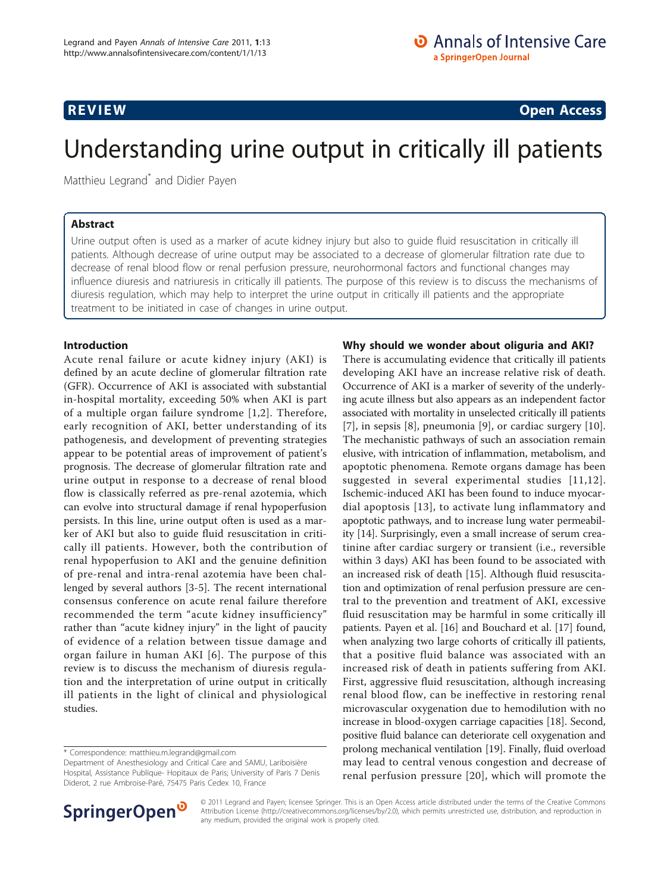**REVIEW CONSTRUCTION CONSTRUCTION CONSTRUCTS** 

# Understanding urine output in critically ill patients

Matthieu Legrand<sup>\*</sup> and Didier Payen

# Abstract

Urine output often is used as a marker of acute kidney injury but also to guide fluid resuscitation in critically ill patients. Although decrease of urine output may be associated to a decrease of glomerular filtration rate due to decrease of renal blood flow or renal perfusion pressure, neurohormonal factors and functional changes may influence diuresis and natriuresis in critically ill patients. The purpose of this review is to discuss the mechanisms of diuresis regulation, which may help to interpret the urine output in critically ill patients and the appropriate treatment to be initiated in case of changes in urine output.

#### Introduction

Acute renal failure or acute kidney injury (AKI) is defined by an acute decline of glomerular filtration rate (GFR). Occurrence of AKI is associated with substantial in-hospital mortality, exceeding 50% when AKI is part of a multiple organ failure syndrome [[1](#page-6-0),[2\]](#page-6-0). Therefore, early recognition of AKI, better understanding of its pathogenesis, and development of preventing strategies appear to be potential areas of improvement of patient's prognosis. The decrease of glomerular filtration rate and urine output in response to a decrease of renal blood flow is classically referred as pre-renal azotemia, which can evolve into structural damage if renal hypoperfusion persists. In this line, urine output often is used as a marker of AKI but also to guide fluid resuscitation in critically ill patients. However, both the contribution of renal hypoperfusion to AKI and the genuine definition of pre-renal and intra-renal azotemia have been challenged by several authors [[3-5](#page-6-0)]. The recent international consensus conference on acute renal failure therefore recommended the term "acute kidney insufficiency" rather than "acute kidney injury" in the light of paucity of evidence of a relation between tissue damage and organ failure in human AKI [[6](#page-6-0)]. The purpose of this review is to discuss the mechanism of diuresis regulation and the interpretation of urine output in critically ill patients in the light of clinical and physiological studies.

#### Why should we wonder about oliguria and AKI?

There is accumulating evidence that critically ill patients developing AKI have an increase relative risk of death. Occurrence of AKI is a marker of severity of the underlying acute illness but also appears as an independent factor associated with mortality in unselected critically ill patients [[7\]](#page-6-0), in sepsis [[8\]](#page-6-0), pneumonia [[9\]](#page-6-0), or cardiac surgery [\[10](#page-6-0)]. The mechanistic pathways of such an association remain elusive, with intrication of inflammation, metabolism, and apoptotic phenomena. Remote organs damage has been suggested in several experimental studies [[11,12\]](#page-6-0). Ischemic-induced AKI has been found to induce myocardial apoptosis [[13\]](#page-6-0), to activate lung inflammatory and apoptotic pathways, and to increase lung water permeability [[14](#page-6-0)]. Surprisingly, even a small increase of serum creatinine after cardiac surgery or transient (i.e., reversible within 3 days) AKI has been found to be associated with an increased risk of death [\[15](#page-6-0)]. Although fluid resuscitation and optimization of renal perfusion pressure are central to the prevention and treatment of AKI, excessive fluid resuscitation may be harmful in some critically ill patients. Payen et al. [[16\]](#page-6-0) and Bouchard et al. [[17](#page-6-0)] found, when analyzing two large cohorts of critically ill patients, that a positive fluid balance was associated with an increased risk of death in patients suffering from AKI. First, aggressive fluid resuscitation, although increasing renal blood flow, can be ineffective in restoring renal microvascular oxygenation due to hemodilution with no increase in blood-oxygen carriage capacities [\[18\]](#page-6-0). Second, positive fluid balance can deteriorate cell oxygenation and prolong mechanical ventilation [[19](#page-6-0)]. Finally, fluid overload may lead to central venous congestion and decrease of renal perfusion pressure [\[20\]](#page-6-0), which will promote the



© 2011 Legrand and Payen; licensee Springer. This is an Open Access article distributed under the terms of the Creative Commons Attribution License [\(http://creativecommons.org/licenses/by/2.0](http://creativecommons.org/licenses/by/2.0)), which permits unrestricted use, distribution, and reproduction in any medium, provided the original work is properly cited.

<sup>\*</sup> Correspondence: [matthieu.m.legrand@gmail.com](mailto:matthieu.m.legrand@gmail.com)

Department of Anesthesiology and Critical Care and SAMU, Lariboisière Hospital, Assistance Publique- Hopitaux de Paris; University of Paris 7 Denis Diderot, 2 rue Ambroise-Paré, 75475 Paris Cedex 10, France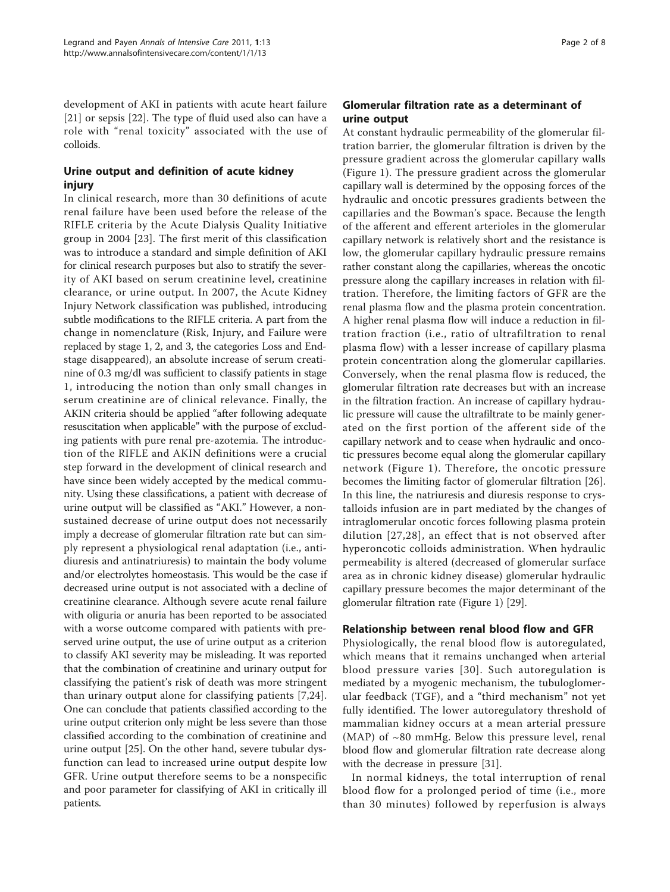development of AKI in patients with acute heart failure [[21\]](#page-6-0) or sepsis [\[22\]](#page-6-0). The type of fluid used also can have a role with "renal toxicity" associated with the use of colloids.

### Urine output and definition of acute kidney injury

In clinical research, more than 30 definitions of acute renal failure have been used before the release of the RIFLE criteria by the Acute Dialysis Quality Initiative group in 2004 [\[23\]](#page-6-0). The first merit of this classification was to introduce a standard and simple definition of AKI for clinical research purposes but also to stratify the severity of AKI based on serum creatinine level, creatinine clearance, or urine output. In 2007, the Acute Kidney Injury Network classification was published, introducing subtle modifications to the RIFLE criteria. A part from the change in nomenclature (Risk, Injury, and Failure were replaced by stage 1, 2, and 3, the categories Loss and Endstage disappeared), an absolute increase of serum creatinine of 0.3 mg/dl was sufficient to classify patients in stage 1, introducing the notion than only small changes in serum creatinine are of clinical relevance. Finally, the AKIN criteria should be applied "after following adequate resuscitation when applicable" with the purpose of excluding patients with pure renal pre-azotemia. The introduction of the RIFLE and AKIN definitions were a crucial step forward in the development of clinical research and have since been widely accepted by the medical community. Using these classifications, a patient with decrease of urine output will be classified as "AKI." However, a nonsustained decrease of urine output does not necessarily imply a decrease of glomerular filtration rate but can simply represent a physiological renal adaptation (i.e., antidiuresis and antinatriuresis) to maintain the body volume and/or electrolytes homeostasis. This would be the case if decreased urine output is not associated with a decline of creatinine clearance. Although severe acute renal failure with oliguria or anuria has been reported to be associated with a worse outcome compared with patients with preserved urine output, the use of urine output as a criterion to classify AKI severity may be misleading. It was reported that the combination of creatinine and urinary output for classifying the patient's risk of death was more stringent than urinary output alone for classifying patients [[7,24](#page-6-0)]. One can conclude that patients classified according to the urine output criterion only might be less severe than those classified according to the combination of creatinine and urine output [\[25\]](#page-6-0). On the other hand, severe tubular dysfunction can lead to increased urine output despite low GFR. Urine output therefore seems to be a nonspecific and poor parameter for classifying of AKI in critically ill patients.

# Glomerular filtration rate as a determinant of urine output

At constant hydraulic permeability of the glomerular filtration barrier, the glomerular filtration is driven by the pressure gradient across the glomerular capillary walls (Figure [1\)](#page-2-0). The pressure gradient across the glomerular capillary wall is determined by the opposing forces of the hydraulic and oncotic pressures gradients between the capillaries and the Bowman's space. Because the length of the afferent and efferent arterioles in the glomerular capillary network is relatively short and the resistance is low, the glomerular capillary hydraulic pressure remains rather constant along the capillaries, whereas the oncotic pressure along the capillary increases in relation with filtration. Therefore, the limiting factors of GFR are the renal plasma flow and the plasma protein concentration. A higher renal plasma flow will induce a reduction in filtration fraction (i.e., ratio of ultrafiltration to renal plasma flow) with a lesser increase of capillary plasma protein concentration along the glomerular capillaries. Conversely, when the renal plasma flow is reduced, the glomerular filtration rate decreases but with an increase in the filtration fraction. An increase of capillary hydraulic pressure will cause the ultrafiltrate to be mainly generated on the first portion of the afferent side of the capillary network and to cease when hydraulic and oncotic pressures become equal along the glomerular capillary network (Figure [1](#page-2-0)). Therefore, the oncotic pressure becomes the limiting factor of glomerular filtration [\[26](#page-6-0)]. In this line, the natriuresis and diuresis response to crystalloids infusion are in part mediated by the changes of intraglomerular oncotic forces following plasma protein dilution [[27](#page-6-0),[28\]](#page-6-0), an effect that is not observed after hyperoncotic colloids administration. When hydraulic permeability is altered (decreased of glomerular surface area as in chronic kidney disease) glomerular hydraulic capillary pressure becomes the major determinant of the glomerular filtration rate (Figure [1](#page-2-0)) [[29](#page-6-0)].

#### Relationship between renal blood flow and GFR

Physiologically, the renal blood flow is autoregulated, which means that it remains unchanged when arterial blood pressure varies [[30](#page-6-0)]. Such autoregulation is mediated by a myogenic mechanism, the tubuloglomerular feedback (TGF), and a "third mechanism" not yet fully identified. The lower autoregulatory threshold of mammalian kidney occurs at a mean arterial pressure (MAP) of  $~80$  mmHg. Below this pressure level, renal blood flow and glomerular filtration rate decrease along with the decrease in pressure [\[31\]](#page-6-0).

In normal kidneys, the total interruption of renal blood flow for a prolonged period of time (i.e., more than 30 minutes) followed by reperfusion is always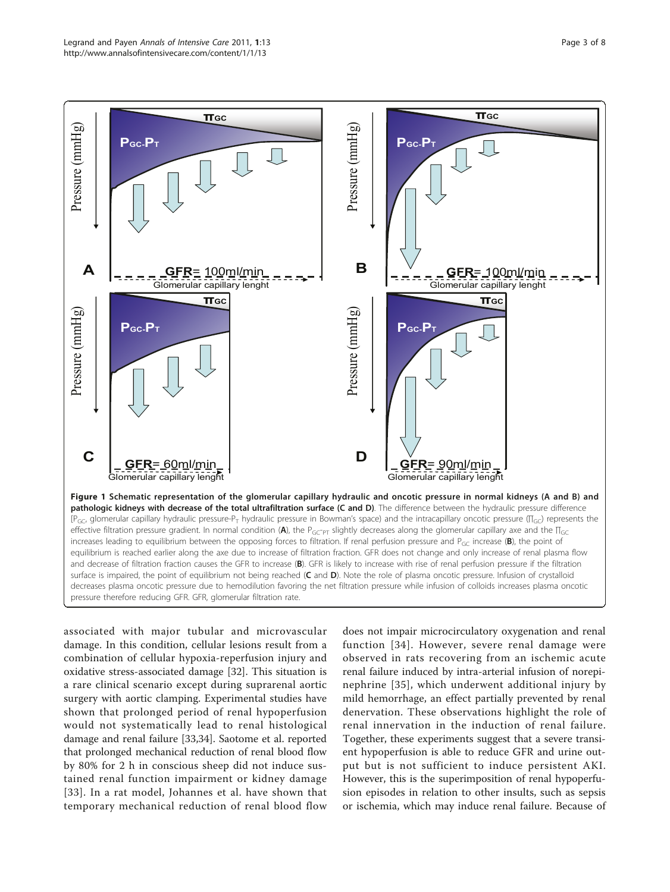<span id="page-2-0"></span>

pressure therefore reducing GFR. GFR, glomerular filtration rate.

associated with major tubular and microvascular damage. In this condition, cellular lesions result from a combination of cellular hypoxia-reperfusion injury and oxidative stress-associated damage [\[32](#page-6-0)]. This situation is a rare clinical scenario except during suprarenal aortic surgery with aortic clamping. Experimental studies have shown that prolonged period of renal hypoperfusion would not systematically lead to renal histological damage and renal failure [[33,34](#page-6-0)]. Saotome et al. reported that prolonged mechanical reduction of renal blood flow by 80% for 2 h in conscious sheep did not induce sustained renal function impairment or kidney damage [[33\]](#page-6-0). In a rat model, Johannes et al. have shown that temporary mechanical reduction of renal blood flow

does not impair microcirculatory oxygenation and renal function [[34\]](#page-6-0). However, severe renal damage were observed in rats recovering from an ischemic acute renal failure induced by intra-arterial infusion of norepinephrine [[35\]](#page-6-0), which underwent additional injury by mild hemorrhage, an effect partially prevented by renal denervation. These observations highlight the role of renal innervation in the induction of renal failure. Together, these experiments suggest that a severe transient hypoperfusion is able to reduce GFR and urine output but is not sufficient to induce persistent AKI. However, this is the superimposition of renal hypoperfusion episodes in relation to other insults, such as sepsis or ischemia, which may induce renal failure. Because of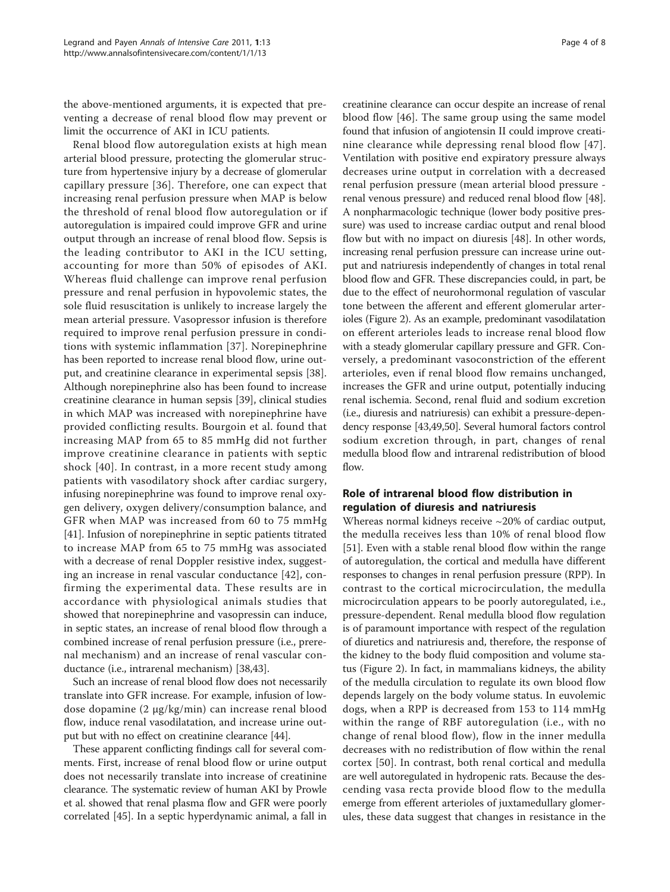the above-mentioned arguments, it is expected that preventing a decrease of renal blood flow may prevent or limit the occurrence of AKI in ICU patients.

Renal blood flow autoregulation exists at high mean arterial blood pressure, protecting the glomerular structure from hypertensive injury by a decrease of glomerular capillary pressure [[36](#page-6-0)]. Therefore, one can expect that increasing renal perfusion pressure when MAP is below the threshold of renal blood flow autoregulation or if autoregulation is impaired could improve GFR and urine output through an increase of renal blood flow. Sepsis is the leading contributor to AKI in the ICU setting, accounting for more than 50% of episodes of AKI. Whereas fluid challenge can improve renal perfusion pressure and renal perfusion in hypovolemic states, the sole fluid resuscitation is unlikely to increase largely the mean arterial pressure. Vasopressor infusion is therefore required to improve renal perfusion pressure in conditions with systemic inflammation [[37\]](#page-6-0). Norepinephrine has been reported to increase renal blood flow, urine output, and creatinine clearance in experimental sepsis [\[38](#page-6-0)]. Although norepinephrine also has been found to increase creatinine clearance in human sepsis [[39](#page-6-0)], clinical studies in which MAP was increased with norepinephrine have provided conflicting results. Bourgoin et al. found that increasing MAP from 65 to 85 mmHg did not further improve creatinine clearance in patients with septic shock [[40](#page-6-0)]. In contrast, in a more recent study among patients with vasodilatory shock after cardiac surgery, infusing norepinephrine was found to improve renal oxygen delivery, oxygen delivery/consumption balance, and GFR when MAP was increased from 60 to 75 mmHg [[41\]](#page-6-0). Infusion of norepinephrine in septic patients titrated to increase MAP from 65 to 75 mmHg was associated with a decrease of renal Doppler resistive index, suggesting an increase in renal vascular conductance [\[42](#page-6-0)], confirming the experimental data. These results are in accordance with physiological animals studies that showed that norepinephrine and vasopressin can induce, in septic states, an increase of renal blood flow through a combined increase of renal perfusion pressure (i.e., prerenal mechanism) and an increase of renal vascular conductance (i.e., intrarenal mechanism) [[38,43](#page-6-0)].

Such an increase of renal blood flow does not necessarily translate into GFR increase. For example, infusion of lowdose dopamine (2 μg/kg/min) can increase renal blood flow, induce renal vasodilatation, and increase urine output but with no effect on creatinine clearance [[44](#page-7-0)].

These apparent conflicting findings call for several comments. First, increase of renal blood flow or urine output does not necessarily translate into increase of creatinine clearance. The systematic review of human AKI by Prowle et al. showed that renal plasma flow and GFR were poorly correlated [[45](#page-7-0)]. In a septic hyperdynamic animal, a fall in

creatinine clearance can occur despite an increase of renal blood flow [[46\]](#page-7-0). The same group using the same model found that infusion of angiotensin II could improve creatinine clearance while depressing renal blood flow [[47](#page-7-0)]. Ventilation with positive end expiratory pressure always decreases urine output in correlation with a decreased renal perfusion pressure (mean arterial blood pressure renal venous pressure) and reduced renal blood flow [[48](#page-7-0)]. A nonpharmacologic technique (lower body positive pressure) was used to increase cardiac output and renal blood flow but with no impact on diuresis [[48](#page-7-0)]. In other words, increasing renal perfusion pressure can increase urine output and natriuresis independently of changes in total renal blood flow and GFR. These discrepancies could, in part, be due to the effect of neurohormonal regulation of vascular tone between the afferent and efferent glomerular arterioles (Figure [2](#page-4-0)). As an example, predominant vasodilatation on efferent arterioles leads to increase renal blood flow with a steady glomerular capillary pressure and GFR. Conversely, a predominant vasoconstriction of the efferent arterioles, even if renal blood flow remains unchanged, increases the GFR and urine output, potentially inducing renal ischemia. Second, renal fluid and sodium excretion (i.e., diuresis and natriuresis) can exhibit a pressure-dependency response [[43](#page-6-0)[,49,50\]](#page-7-0). Several humoral factors control sodium excretion through, in part, changes of renal medulla blood flow and intrarenal redistribution of blood flow.

#### Role of intrarenal blood flow distribution in regulation of diuresis and natriuresis

Whereas normal kidneys receive ~20% of cardiac output, the medulla receives less than 10% of renal blood flow [[51\]](#page-7-0). Even with a stable renal blood flow within the range of autoregulation, the cortical and medulla have different responses to changes in renal perfusion pressure (RPP). In contrast to the cortical microcirculation, the medulla microcirculation appears to be poorly autoregulated, i.e., pressure-dependent. Renal medulla blood flow regulation is of paramount importance with respect of the regulation of diuretics and natriuresis and, therefore, the response of the kidney to the body fluid composition and volume status (Figure [2\)](#page-4-0). In fact, in mammalians kidneys, the ability of the medulla circulation to regulate its own blood flow depends largely on the body volume status. In euvolemic dogs, when a RPP is decreased from 153 to 114 mmHg within the range of RBF autoregulation (i.e., with no change of renal blood flow), flow in the inner medulla decreases with no redistribution of flow within the renal cortex [\[50](#page-7-0)]. In contrast, both renal cortical and medulla are well autoregulated in hydropenic rats. Because the descending vasa recta provide blood flow to the medulla emerge from efferent arterioles of juxtamedullary glomerules, these data suggest that changes in resistance in the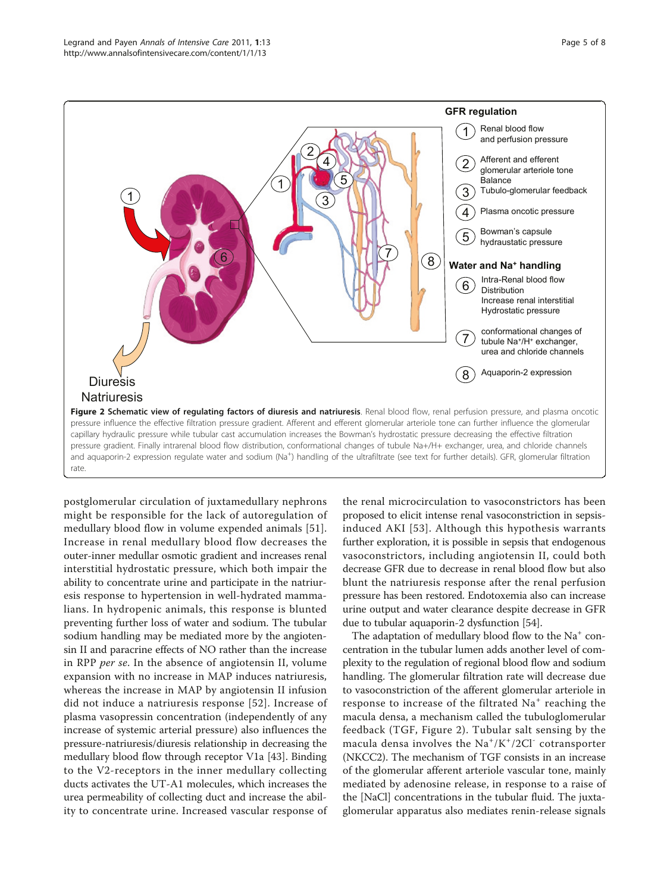<span id="page-4-0"></span>

postglomerular circulation of juxtamedullary nephrons might be responsible for the lack of autoregulation of medullary blood flow in volume expended animals [[51](#page-7-0)]. Increase in renal medullary blood flow decreases the outer-inner medullar osmotic gradient and increases renal interstitial hydrostatic pressure, which both impair the ability to concentrate urine and participate in the natriuresis response to hypertension in well-hydrated mammalians. In hydropenic animals, this response is blunted preventing further loss of water and sodium. The tubular sodium handling may be mediated more by the angiotensin II and paracrine effects of NO rather than the increase in RPP per se. In the absence of angiotensin II, volume expansion with no increase in MAP induces natriuresis, whereas the increase in MAP by angiotensin II infusion did not induce a natriuresis response [[52](#page-7-0)]. Increase of plasma vasopressin concentration (independently of any increase of systemic arterial pressure) also influences the pressure-natriuresis/diuresis relationship in decreasing the medullary blood flow through receptor V1a [[43\]](#page-6-0). Binding to the V2-receptors in the inner medullary collecting ducts activates the UT-A1 molecules, which increases the urea permeability of collecting duct and increase the ability to concentrate urine. Increased vascular response of

the renal microcirculation to vasoconstrictors has been proposed to elicit intense renal vasoconstriction in sepsisinduced AKI [\[53\]](#page-7-0). Although this hypothesis warrants further exploration, it is possible in sepsis that endogenous vasoconstrictors, including angiotensin II, could both decrease GFR due to decrease in renal blood flow but also blunt the natriuresis response after the renal perfusion pressure has been restored. Endotoxemia also can increase urine output and water clearance despite decrease in GFR due to tubular aquaporin-2 dysfunction [\[54](#page-7-0)].

The adaptation of medullary blood flow to the  $Na<sup>+</sup>$  concentration in the tubular lumen adds another level of complexity to the regulation of regional blood flow and sodium handling. The glomerular filtration rate will decrease due to vasoconstriction of the afferent glomerular arteriole in response to increase of the filtrated  $Na<sup>+</sup>$  reaching the macula densa, a mechanism called the tubuloglomerular feedback (TGF, Figure 2). Tubular salt sensing by the macula densa involves the Na<sup>+</sup>/K<sup>+</sup>/2Cl<sup>-</sup> cotransporter (NKCC2). The mechanism of TGF consists in an increase of the glomerular afferent arteriole vascular tone, mainly mediated by adenosine release, in response to a raise of the [NaCl] concentrations in the tubular fluid. The juxtaglomerular apparatus also mediates renin-release signals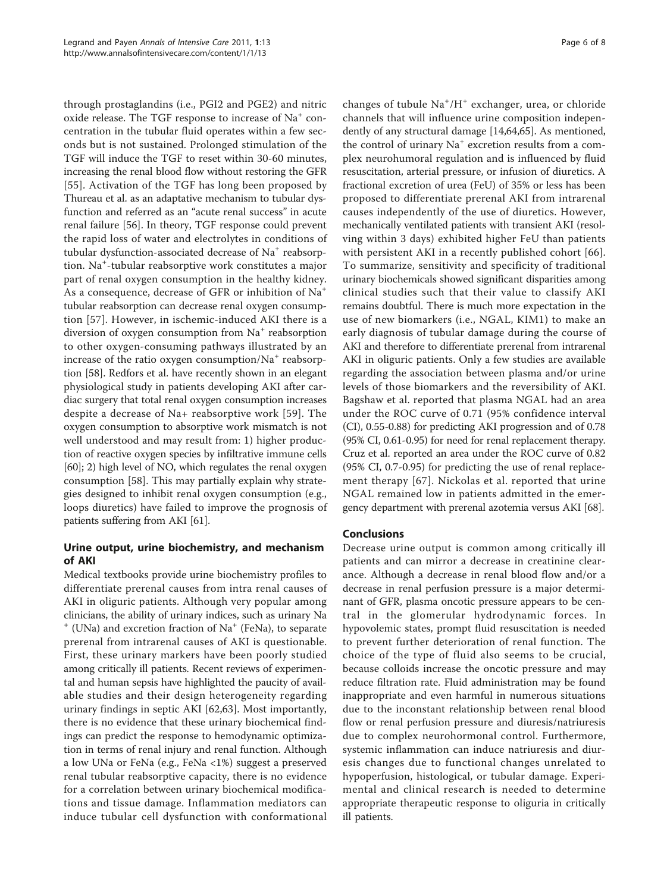through prostaglandins (i.e., PGI2 and PGE2) and nitric oxide release. The TGF response to increase of  $Na<sup>+</sup>$  concentration in the tubular fluid operates within a few seconds but is not sustained. Prolonged stimulation of the TGF will induce the TGF to reset within 30-60 minutes, increasing the renal blood flow without restoring the GFR [[55](#page-7-0)]. Activation of the TGF has long been proposed by Thureau et al. as an adaptative mechanism to tubular dysfunction and referred as an "acute renal success" in acute renal failure [\[56\]](#page-7-0). In theory, TGF response could prevent the rapid loss of water and electrolytes in conditions of tubular dysfunction-associated decrease of Na<sup>+</sup> reabsorption. Na<sup>+</sup> -tubular reabsorptive work constitutes a major part of renal oxygen consumption in the healthy kidney. As a consequence, decrease of GFR or inhibition of Na<sup>+</sup> tubular reabsorption can decrease renal oxygen consumption [[57](#page-7-0)]. However, in ischemic-induced AKI there is a diversion of oxygen consumption from Na<sup>+</sup> reabsorption to other oxygen-consuming pathways illustrated by an increase of the ratio oxygen consumption/Na<sup>+</sup> reabsorption [[58\]](#page-7-0). Redfors et al. have recently shown in an elegant physiological study in patients developing AKI after cardiac surgery that total renal oxygen consumption increases despite a decrease of Na+ reabsorptive work [[59\]](#page-7-0). The oxygen consumption to absorptive work mismatch is not well understood and may result from: 1) higher production of reactive oxygen species by infiltrative immune cells [[60](#page-7-0)]; 2) high level of NO, which regulates the renal oxygen consumption [[58\]](#page-7-0). This may partially explain why strategies designed to inhibit renal oxygen consumption (e.g., loops diuretics) have failed to improve the prognosis of patients suffering from AKI [\[61\]](#page-7-0).

# Urine output, urine biochemistry, and mechanism of AKI

Medical textbooks provide urine biochemistry profiles to differentiate prerenal causes from intra renal causes of AKI in oliguric patients. Although very popular among clinicians, the ability of urinary indices, such as urinary Na  $^+$  (UNa) and excretion fraction of Na<sup> $+$ </sup> (FeNa), to separate prerenal from intrarenal causes of AKI is questionable. First, these urinary markers have been poorly studied among critically ill patients. Recent reviews of experimental and human sepsis have highlighted the paucity of available studies and their design heterogeneity regarding urinary findings in septic AKI [[62,63\]](#page-7-0). Most importantly, there is no evidence that these urinary biochemical findings can predict the response to hemodynamic optimization in terms of renal injury and renal function. Although a low UNa or FeNa (e.g., FeNa <1%) suggest a preserved renal tubular reabsorptive capacity, there is no evidence for a correlation between urinary biochemical modifications and tissue damage. Inflammation mediators can induce tubular cell dysfunction with conformational

changes of tubule Na<sup>+</sup>/H<sup>+</sup> exchanger, urea, or chloride channels that will influence urine composition independently of any structural damage [\[14](#page-6-0)[,64,65\]](#page-7-0). As mentioned, the control of urinary  $Na<sup>+</sup>$  excretion results from a complex neurohumoral regulation and is influenced by fluid resuscitation, arterial pressure, or infusion of diuretics. A fractional excretion of urea (FeU) of 35% or less has been proposed to differentiate prerenal AKI from intrarenal causes independently of the use of diuretics. However, mechanically ventilated patients with transient AKI (resolving within 3 days) exhibited higher FeU than patients with persistent AKI in a recently published cohort [[66](#page-7-0)]. To summarize, sensitivity and specificity of traditional urinary biochemicals showed significant disparities among clinical studies such that their value to classify AKI remains doubtful. There is much more expectation in the use of new biomarkers (i.e., NGAL, KIM1) to make an early diagnosis of tubular damage during the course of AKI and therefore to differentiate prerenal from intrarenal AKI in oliguric patients. Only a few studies are available regarding the association between plasma and/or urine levels of those biomarkers and the reversibility of AKI. Bagshaw et al. reported that plasma NGAL had an area under the ROC curve of 0.71 (95% confidence interval (CI), 0.55-0.88) for predicting AKI progression and of 0.78 (95% CI, 0.61-0.95) for need for renal replacement therapy. Cruz et al. reported an area under the ROC curve of 0.82 (95% CI, 0.7-0.95) for predicting the use of renal replacement therapy [[67](#page-7-0)]. Nickolas et al. reported that urine NGAL remained low in patients admitted in the emergency department with prerenal azotemia versus AKI [\[68\]](#page-7-0).

### Conclusions

Decrease urine output is common among critically ill patients and can mirror a decrease in creatinine clearance. Although a decrease in renal blood flow and/or a decrease in renal perfusion pressure is a major determinant of GFR, plasma oncotic pressure appears to be central in the glomerular hydrodynamic forces. In hypovolemic states, prompt fluid resuscitation is needed to prevent further deterioration of renal function. The choice of the type of fluid also seems to be crucial, because colloids increase the oncotic pressure and may reduce filtration rate. Fluid administration may be found inappropriate and even harmful in numerous situations due to the inconstant relationship between renal blood flow or renal perfusion pressure and diuresis/natriuresis due to complex neurohormonal control. Furthermore, systemic inflammation can induce natriuresis and diuresis changes due to functional changes unrelated to hypoperfusion, histological, or tubular damage. Experimental and clinical research is needed to determine appropriate therapeutic response to oliguria in critically ill patients.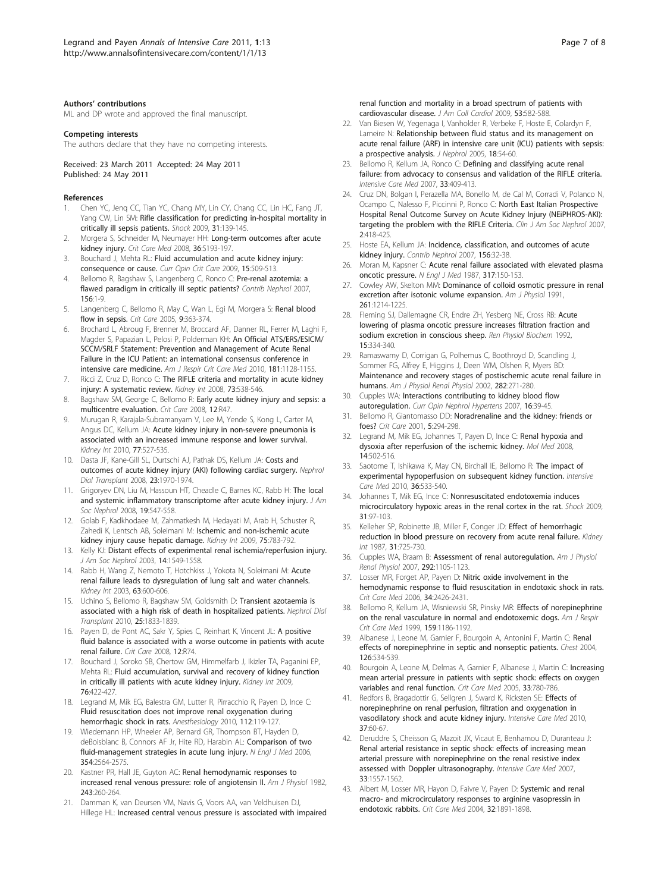#### <span id="page-6-0"></span>Authors' contributions

ML and DP wrote and approved the final manuscript.

#### Competing interests

The authors declare that they have no competing interests.

Received: 23 March 2011 Accepted: 24 May 2011 Published: 24 May 2011

#### References

- 1. Chen YC, Jenq CC, Tian YC, Chang MY, Lin CY, Chang CC, Lin HC, Fang JT, Yang CW, Lin SM: [Rifle classification for predicting in-hospital mortality in](http://www.ncbi.nlm.nih.gov/pubmed/18520698?dopt=Abstract) [critically ill sepsis patients.](http://www.ncbi.nlm.nih.gov/pubmed/18520698?dopt=Abstract) Shock 2009, 31:139-145.
- 2. Morgera S, Schneider M, Neumayer HH: [Long-term outcomes after acute](http://www.ncbi.nlm.nih.gov/pubmed/18382193?dopt=Abstract) [kidney injury.](http://www.ncbi.nlm.nih.gov/pubmed/18382193?dopt=Abstract) Crit Care Med 2008, 36:S193-197.
- 3. Bouchard J, Mehta RL: [Fluid accumulation and acute kidney injury:](http://www.ncbi.nlm.nih.gov/pubmed/19829108?dopt=Abstract) [consequence or cause.](http://www.ncbi.nlm.nih.gov/pubmed/19829108?dopt=Abstract) Curr Opin Crit Care 2009, 15:509-513.
- 4. Bellomo R, Bagshaw S, Langenberg C, Ronco C: [Pre-renal azotemia: a](http://www.ncbi.nlm.nih.gov/pubmed/17464109?dopt=Abstract) [flawed paradigm in critically ill septic patients?](http://www.ncbi.nlm.nih.gov/pubmed/17464109?dopt=Abstract) Contrib Nephrol 2007, 156:1-9.
- 5. Langenberg C, Bellomo R, May C, Wan L, Egi M, Morgera S: Renal blood flow in sepsis. Crit Care 2005, 9:363-374.
- 6. Brochard L, Abroug F, Brenner M, Broccard AF, Danner RL, Ferrer M, Laghi F, Magder S, Papazian L, Pelosi P, Polderman KH: [An Official ATS/ERS/ESICM/](http://www.ncbi.nlm.nih.gov/pubmed/20460549?dopt=Abstract) [SCCM/SRLF Statement: Prevention and Management of Acute Renal](http://www.ncbi.nlm.nih.gov/pubmed/20460549?dopt=Abstract) [Failure in the ICU Patient: an international consensus conference in](http://www.ncbi.nlm.nih.gov/pubmed/20460549?dopt=Abstract) [intensive care medicine.](http://www.ncbi.nlm.nih.gov/pubmed/20460549?dopt=Abstract) Am J Respir Crit Care Med 2010, 181:1128-1155.
- 7. Ricci Z, Cruz D, Ronco C: [The RIFLE criteria and mortality in acute kidney](http://www.ncbi.nlm.nih.gov/pubmed/18160961?dopt=Abstract) [injury: A systematic review.](http://www.ncbi.nlm.nih.gov/pubmed/18160961?dopt=Abstract) Kidney Int 2008, 73:538-546.
- 8. Bagshaw SM, George C, Bellomo R: [Early acute kidney injury and sepsis: a](http://www.ncbi.nlm.nih.gov/pubmed/18402655?dopt=Abstract) [multicentre evaluation.](http://www.ncbi.nlm.nih.gov/pubmed/18402655?dopt=Abstract) Crit Care 2008, 12:R47.
- 9. Murugan R, Karajala-Subramanyam V, Lee M, Yende S, Kong L, Carter M, Angus DC, Kellum JA: [Acute kidney injury in non-severe pneumonia is](http://www.ncbi.nlm.nih.gov/pubmed/20032961?dopt=Abstract) [associated with an increased immune response and lower survival.](http://www.ncbi.nlm.nih.gov/pubmed/20032961?dopt=Abstract) Kidney Int 2010, 77:527-535.
- 10. Dasta JF, Kane-Gill SL, Durtschi AJ, Pathak DS, Kellum JA: [Costs and](http://www.ncbi.nlm.nih.gov/pubmed/18178605?dopt=Abstract) [outcomes of acute kidney injury \(AKI\) following cardiac surgery.](http://www.ncbi.nlm.nih.gov/pubmed/18178605?dopt=Abstract) Nephrol Dial Transplant 2008, 23:1970-1974.
- 11. Grigoryev DN, Liu M, Hassoun HT, Cheadle C, Barnes KC, Rabb H: [The local](http://www.ncbi.nlm.nih.gov/pubmed/18235097?dopt=Abstract) [and systemic inflammatory transcriptome after acute kidney injury.](http://www.ncbi.nlm.nih.gov/pubmed/18235097?dopt=Abstract) J Am Soc Nephrol 2008, 19:547-558.
- 12. Golab F, Kadkhodaee M, Zahmatkesh M, Hedayati M, Arab H, Schuster R, Zahedi K, Lentsch AB, Soleimani M: [Ischemic and non-ischemic acute](http://www.ncbi.nlm.nih.gov/pubmed/19177157?dopt=Abstract) [kidney injury cause hepatic damage.](http://www.ncbi.nlm.nih.gov/pubmed/19177157?dopt=Abstract) Kidney Int 2009, 75:783-792.
- 13. Kelly KJ: [Distant effects of experimental renal ischemia/reperfusion injury.](http://www.ncbi.nlm.nih.gov/pubmed/12761255?dopt=Abstract) J Am Soc Nephrol 2003, 14:1549-1558.
- 14. Rabb H, Wang Z, Nemoto T, Hotchkiss J, Yokota N, Soleimani M: [Acute](http://www.ncbi.nlm.nih.gov/pubmed/12631124?dopt=Abstract) [renal failure leads to dysregulation of lung salt and water channels.](http://www.ncbi.nlm.nih.gov/pubmed/12631124?dopt=Abstract) Kidney Int 2003, 63:600-606.
- 15. Uchino S, Bellomo R, Bagshaw SM, Goldsmith D: [Transient azotaemia is](http://www.ncbi.nlm.nih.gov/pubmed/20054022?dopt=Abstract) [associated with a high risk of death in hospitalized patients.](http://www.ncbi.nlm.nih.gov/pubmed/20054022?dopt=Abstract) Nephrol Dial Transplant 2010, 25:1833-1839.
- 16. Payen D, de Pont AC, Sakr Y, Spies C, Reinhart K, Vincent JL: [A positive](http://www.ncbi.nlm.nih.gov/pubmed/18533029?dopt=Abstract) [fluid balance is associated with a worse outcome in patients with acute](http://www.ncbi.nlm.nih.gov/pubmed/18533029?dopt=Abstract) [renal failure.](http://www.ncbi.nlm.nih.gov/pubmed/18533029?dopt=Abstract) Crit Care 2008, 12:R74.
- 17. Bouchard J, Soroko SB, Chertow GM, Himmelfarb J, Ikizler TA, Paganini EP, Mehta RL: [Fluid accumulation, survival and recovery of kidney function](http://www.ncbi.nlm.nih.gov/pubmed/19436332?dopt=Abstract) [in critically ill patients with acute kidney injury.](http://www.ncbi.nlm.nih.gov/pubmed/19436332?dopt=Abstract) Kidney Int 2009, 76:422-427.
- 18. Legrand M, Mik EG, Balestra GM, Lutter R, Pirracchio R, Payen D, Ince C: [Fluid resuscitation does not improve renal oxygenation during](http://www.ncbi.nlm.nih.gov/pubmed/19996951?dopt=Abstract) [hemorrhagic shock in rats.](http://www.ncbi.nlm.nih.gov/pubmed/19996951?dopt=Abstract) Anesthesiology 2010, 112:119-127.
- 19. Wiedemann HP, Wheeler AP, Bernard GR, Thompson BT, Hayden D, deBoisblanc B, Connors AF Jr, Hite RD, Harabin AL: [Comparison of two](http://www.ncbi.nlm.nih.gov/pubmed/16714767?dopt=Abstract) [fluid-management strategies in acute lung injury.](http://www.ncbi.nlm.nih.gov/pubmed/16714767?dopt=Abstract) N Engl J Med 2006, 354:2564-2575.
- 20. Kastner PR, Hall JE, Guyton AC: Renal hemodynamic responses to increased renal venous pressure: role of angiotensin II. Am J Physiol 1982, 243:260-264.
- 21. Damman K, van Deursen VM, Navis G, Voors AA, van Veldhuisen DJ, Hillege HL: [Increased central venous pressure is associated with impaired](http://www.ncbi.nlm.nih.gov/pubmed/19215832?dopt=Abstract)

[renal function and mortality in a broad spectrum of patients with](http://www.ncbi.nlm.nih.gov/pubmed/19215832?dopt=Abstract) [cardiovascular disease.](http://www.ncbi.nlm.nih.gov/pubmed/19215832?dopt=Abstract) J Am Coll Cardiol 2009, 53:582-588.

- 22. Van Biesen W, Yegenaga I, Vanholder R, Verbeke F, Hoste E, Colardyn F, Lameire N: [Relationship between fluid status and its management on](http://www.ncbi.nlm.nih.gov/pubmed/15772923?dopt=Abstract) [acute renal failure \(ARF\) in intensive care unit \(ICU\) patients with sepsis:](http://www.ncbi.nlm.nih.gov/pubmed/15772923?dopt=Abstract) [a prospective analysis.](http://www.ncbi.nlm.nih.gov/pubmed/15772923?dopt=Abstract) J Nephrol 2005, 18:54-60.
- 23. Bellomo R, Kellum JA, Ronco C: [Defining and classifying acute renal](http://www.ncbi.nlm.nih.gov/pubmed/17165018?dopt=Abstract) [failure: from advocacy to consensus and validation of the RIFLE criteria.](http://www.ncbi.nlm.nih.gov/pubmed/17165018?dopt=Abstract) Intensive Care Med 2007, 33:409-413.
- 24. Cruz DN, Bolgan I, Perazella MA, Bonello M, de Cal M, Corradi V, Polanco N, Ocampo C, Nalesso F, Piccinni P, Ronco C: [North East Italian Prospective](http://www.ncbi.nlm.nih.gov/pubmed/17699446?dopt=Abstract) [Hospital Renal Outcome Survey on Acute Kidney Injury \(NEiPHROS-AKI\):](http://www.ncbi.nlm.nih.gov/pubmed/17699446?dopt=Abstract) [targeting the problem with the RIFLE Criteria.](http://www.ncbi.nlm.nih.gov/pubmed/17699446?dopt=Abstract) Clin J Am Soc Nephrol 2007, 2:418-425.
- 25. Hoste EA, Kellum JA: [Incidence, classification, and outcomes of acute](http://www.ncbi.nlm.nih.gov/pubmed/17464113?dopt=Abstract) [kidney injury.](http://www.ncbi.nlm.nih.gov/pubmed/17464113?dopt=Abstract) Contrib Nephrol 2007, 156:32-38.
- 26. Moran M, Kapsner C: [Acute renal failure associated with elevated plasma](http://www.ncbi.nlm.nih.gov/pubmed/2439908?dopt=Abstract) [oncotic pressure.](http://www.ncbi.nlm.nih.gov/pubmed/2439908?dopt=Abstract) N Engl J Med 1987, 317:150-153.
- 27. Cowley AW, Skelton MM: Dominance of colloid osmotic pressure in renal excretion after isotonic volume expansion. Am J Physiol 1991, 261:1214-1225.
- 28. Fleming SJ, Dallemagne CR, Endre ZH, Yesberg NE, Cross RB: [Acute](http://www.ncbi.nlm.nih.gov/pubmed/1282727?dopt=Abstract) lowering [of plasma oncotic pressure increases filtration fraction and](http://www.ncbi.nlm.nih.gov/pubmed/1282727?dopt=Abstract) [sodium excretion in conscious sheep.](http://www.ncbi.nlm.nih.gov/pubmed/1282727?dopt=Abstract) Ren Physiol Biochem 1992, 15:334-340.
- 29. Ramaswamy D, Corrigan G, Polhemus C, Boothroyd D, Scandling J, Sommer FG, Alfrey E, Higgins J, Deen WM, Olshen R, Myers BD: Maintenance and recovery stages of postischemic acute renal failure in humans. Am J Physiol Renal Physiol 2002, 282:271-280.
- 30. Cupples WA: [Interactions contributing to kidney blood flow](http://www.ncbi.nlm.nih.gov/pubmed/17143070?dopt=Abstract) [autoregulation.](http://www.ncbi.nlm.nih.gov/pubmed/17143070?dopt=Abstract) Curr Opin Nephrol Hypertens 2007, 16:39-45.
- 31. Bellomo R, Giantomasso DD: [Noradrenaline and the kidney: friends or](http://www.ncbi.nlm.nih.gov/pubmed/11737909?dopt=Abstract) [foes?](http://www.ncbi.nlm.nih.gov/pubmed/11737909?dopt=Abstract) Crit Care 2001, 5:294-298.
- 32. Legrand M, Mik EG, Johannes T, Payen D, Ince C: [Renal hypoxia and](http://www.ncbi.nlm.nih.gov/pubmed/18488066?dopt=Abstract) [dysoxia after reperfusion of the ischemic kidney.](http://www.ncbi.nlm.nih.gov/pubmed/18488066?dopt=Abstract) Mol Med 2008, 14:502-516.
- 33. Saotome T, Ishikawa K, May CN, Birchall IE, Bellomo R: [The impact of](http://www.ncbi.nlm.nih.gov/pubmed/20049587?dopt=Abstract) [experimental hypoperfusion on subsequent kidney function.](http://www.ncbi.nlm.nih.gov/pubmed/20049587?dopt=Abstract) Intensive Care Med 2010, 36:533-540.
- 34. Johannes T, Mik EG, Ince C: [Nonresuscitated endotoxemia induces](http://www.ncbi.nlm.nih.gov/pubmed/18497704?dopt=Abstract) [microcirculatory hypoxic areas in the renal cortex in the rat.](http://www.ncbi.nlm.nih.gov/pubmed/18497704?dopt=Abstract) Shock 2009, 31:97-103.
- 35. Kelleher SP, Robinette JB, Miller F, Conger JD: [Effect of hemorrhagic](http://www.ncbi.nlm.nih.gov/pubmed/3573537?dopt=Abstract) [reduction in blood pressure on recovery from acute renal failure.](http://www.ncbi.nlm.nih.gov/pubmed/3573537?dopt=Abstract) Kidney Int 1987, 31:725-730.
- 36. Cupples WA, Braam B: Assessment of renal autoregulation. Am J Physiol Renal Physiol 2007, 292:1105-1123.
- 37. Losser MR, Forget AP, Payen D: [Nitric oxide involvement in the](http://www.ncbi.nlm.nih.gov/pubmed/16791113?dopt=Abstract) [hemodynamic response to fluid resuscitation in endotoxic shock in rats.](http://www.ncbi.nlm.nih.gov/pubmed/16791113?dopt=Abstract) Crit Care Med 2006, 34:2426-2431.
- 38. Bellomo R, Kellum JA, Wisniewski SR, Pinsky MR: [Effects of norepinephrine](http://www.ncbi.nlm.nih.gov/pubmed/10194164?dopt=Abstract) [on the renal vasculature in normal and endotoxemic dogs.](http://www.ncbi.nlm.nih.gov/pubmed/10194164?dopt=Abstract) Am J Respir Crit Care Med 1999, 159:1186-1192.
- 39. Albanese J, Leone M, Garnier F, Bourgoin A, Antonini F, Martin C: [Renal](http://www.ncbi.nlm.nih.gov/pubmed/15302741?dopt=Abstract) [effects of norepinephrine in septic and nonseptic patients.](http://www.ncbi.nlm.nih.gov/pubmed/15302741?dopt=Abstract) Chest 2004, 126:534-539.
- 40. Bourgoin A, Leone M, Delmas A, Garnier F, Albanese J, Martin C: [Increasing](http://www.ncbi.nlm.nih.gov/pubmed/15818105?dopt=Abstract) [mean arterial pressure in patients with septic shock: effects on oxygen](http://www.ncbi.nlm.nih.gov/pubmed/15818105?dopt=Abstract) [variables and renal function.](http://www.ncbi.nlm.nih.gov/pubmed/15818105?dopt=Abstract) Crit Care Med 2005, 33:780-786.
- 41. Redfors B, Bragadottir G, Sellgren J, Sward K, Ricksten SE: [Effects of](http://www.ncbi.nlm.nih.gov/pubmed/20949349?dopt=Abstract) [norepinephrine on renal perfusion, filtration and oxygenation in](http://www.ncbi.nlm.nih.gov/pubmed/20949349?dopt=Abstract) [vasodilatory shock and acute kidney injury.](http://www.ncbi.nlm.nih.gov/pubmed/20949349?dopt=Abstract) Intensive Care Med 2010, 37:60-67.
- 42. Deruddre S, Cheisson G, Mazoit JX, Vicaut E, Benhamou D, Duranteau J: [Renal arterial resistance in septic shock: effects of increasing mean](http://www.ncbi.nlm.nih.gov/pubmed/17486316?dopt=Abstract) [arterial pressure with norepinephrine on the renal resistive index](http://www.ncbi.nlm.nih.gov/pubmed/17486316?dopt=Abstract) assessed [with Doppler ultrasonography.](http://www.ncbi.nlm.nih.gov/pubmed/17486316?dopt=Abstract) Intensive Care Med 2007, 33:1557-1562.
- 43. Albert M, Losser MR, Hayon D, Faivre V, Payen D: [Systemic and renal](http://www.ncbi.nlm.nih.gov/pubmed/15343018?dopt=Abstract) [macro- and microcirculatory responses to arginine vasopressin in](http://www.ncbi.nlm.nih.gov/pubmed/15343018?dopt=Abstract) [endotoxic rabbits.](http://www.ncbi.nlm.nih.gov/pubmed/15343018?dopt=Abstract) Crit Care Med 2004, 32:1891-1898.